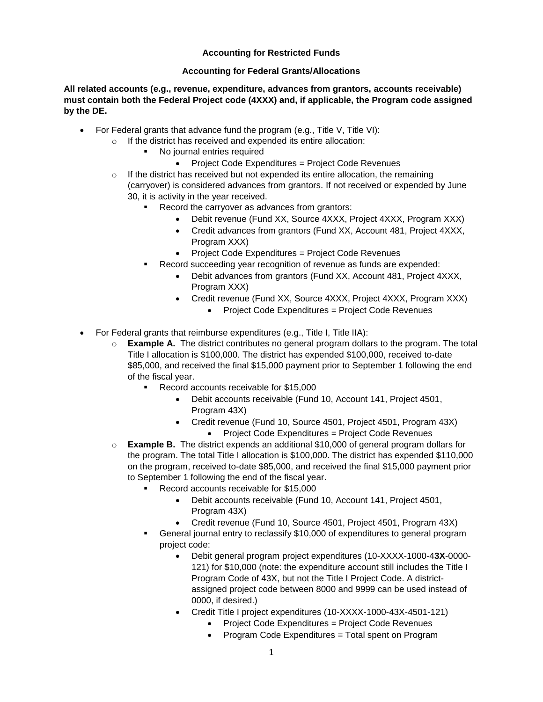## **Accounting for Restricted Funds**

#### **Accounting for Federal Grants/Allocations**

**All related accounts (e.g., revenue, expenditure, advances from grantors, accounts receivable) must contain both the Federal Project code (4XXX) and, if applicable, the Program code assigned by the DE.**

- For Federal grants that advance fund the program (e.g., Title V, Title VI):
	- o If the district has received and expended its entire allocation:
		- No journal entries required
			- Project Code Expenditures = Project Code Revenues
		- $\circ$  If the district has received but not expended its entire allocation, the remaining (carryover) is considered advances from grantors. If not received or expended by June 30, it is activity in the year received.
			- Record the carryover as advances from grantors:
				- Debit revenue (Fund XX, Source 4XXX, Project 4XXX, Program XXX)
				- Credit advances from grantors (Fund XX, Account 481, Project 4XXX, Program XXX)
				- Project Code Expenditures = Project Code Revenues
			- Record succeeding year recognition of revenue as funds are expended:
				- Debit advances from grantors (Fund XX, Account 481, Project 4XXX, Program XXX)
				- Credit revenue (Fund XX, Source 4XXX, Project 4XXX, Program XXX)
					- Project Code Expenditures = Project Code Revenues
- For Federal grants that reimburse expenditures (e.g., Title I, Title IIA):
	- o **Example A.** The district contributes no general program dollars to the program. The total Title I allocation is \$100,000. The district has expended \$100,000, received to-date \$85,000, and received the final \$15,000 payment prior to September 1 following the end of the fiscal year.
		- Record accounts receivable for \$15,000
			- Debit accounts receivable (Fund 10, Account 141, Project 4501, Program 43X)
			- Credit revenue (Fund 10, Source 4501, Project 4501, Program 43X)
				- Project Code Expenditures = Project Code Revenues
	- o **Example B.** The district expends an additional \$10,000 of general program dollars for the program. The total Title I allocation is \$100,000. The district has expended \$110,000 on the program, received to-date \$85,000, and received the final \$15,000 payment prior to September 1 following the end of the fiscal year.
		- Record accounts receivable for \$15,000
			- Debit accounts receivable (Fund 10, Account 141, Project 4501, Program 43X)
			- Credit revenue (Fund 10, Source 4501, Project 4501, Program 43X)
		- General journal entry to reclassify \$10,000 of expenditures to general program project code:
			- Debit general program project expenditures (10-XXXX-1000-4**3X**-0000- 121) for \$10,000 (note: the expenditure account still includes the Title I Program Code of 43X, but not the Title I Project Code. A districtassigned project code between 8000 and 9999 can be used instead of 0000, if desired.)
			- Credit Title I project expenditures (10-XXXX-1000-43X-4501-121)
				- Project Code Expenditures = Project Code Revenues
				- Program Code Expenditures = Total spent on Program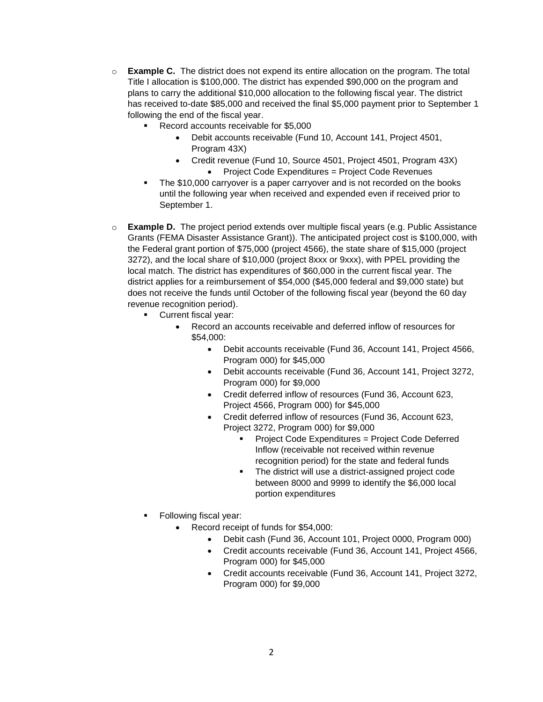- o **Example C.** The district does not expend its entire allocation on the program. The total Title I allocation is \$100,000. The district has expended \$90,000 on the program and plans to carry the additional \$10,000 allocation to the following fiscal year. The district has received to-date \$85,000 and received the final \$5,000 payment prior to September 1 following the end of the fiscal year.
	- Record accounts receivable for \$5,000
		- Debit accounts receivable (Fund 10, Account 141, Project 4501, Program 43X)
		- Credit revenue (Fund 10, Source 4501, Project 4501, Program 43X) Project Code Expenditures = Project Code Revenues
	- The \$10,000 carryover is a paper carryover and is not recorded on the books until the following year when received and expended even if received prior to September 1.
- o **Example D.** The project period extends over multiple fiscal years (e.g. Public Assistance Grants (FEMA Disaster Assistance Grant)). The anticipated project cost is \$100,000, with the Federal grant portion of \$75,000 (project 4566), the state share of \$15,000 (project 3272), and the local share of \$10,000 (project 8xxx or 9xxx), with PPEL providing the local match. The district has expenditures of \$60,000 in the current fiscal year. The district applies for a reimbursement of \$54,000 (\$45,000 federal and \$9,000 state) but does not receive the funds until October of the following fiscal year (beyond the 60 day revenue recognition period).
	- Current fiscal year:
		- Record an accounts receivable and deferred inflow of resources for \$54,000:
			- Debit accounts receivable (Fund 36, Account 141, Project 4566, Program 000) for \$45,000
			- Debit accounts receivable (Fund 36, Account 141, Project 3272, Program 000) for \$9,000
			- Credit deferred inflow of resources (Fund 36, Account 623, Project 4566, Program 000) for \$45,000
			- Credit deferred inflow of resources (Fund 36, Account 623, Project 3272, Program 000) for \$9,000
				- Project Code Expenditures = Project Code Deferred Inflow (receivable not received within revenue recognition period) for the state and federal funds
				- **The district will use a district-assigned project code** between 8000 and 9999 to identify the \$6,000 local portion expenditures
	- Following fiscal year:
		- Record receipt of funds for \$54,000:
			- Debit cash (Fund 36, Account 101, Project 0000, Program 000)
			- Credit accounts receivable (Fund 36, Account 141, Project 4566, Program 000) for \$45,000
			- Credit accounts receivable (Fund 36, Account 141, Project 3272, Program 000) for \$9,000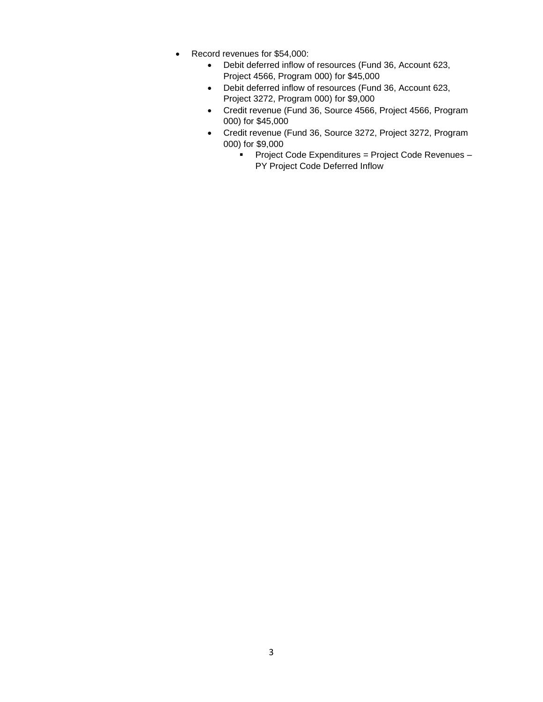- Record revenues for \$54,000:
	- Debit deferred inflow of resources (Fund 36, Account 623, Project 4566, Program 000) for \$45,000
	- Debit deferred inflow of resources (Fund 36, Account 623, Project 3272, Program 000) for \$9,000
	- Credit revenue (Fund 36, Source 4566, Project 4566, Program 000) for \$45,000
	- Credit revenue (Fund 36, Source 3272, Project 3272, Program 000) for \$9,000
		- **Project Code Expenditures = Project Code Revenues -**PY Project Code Deferred Inflow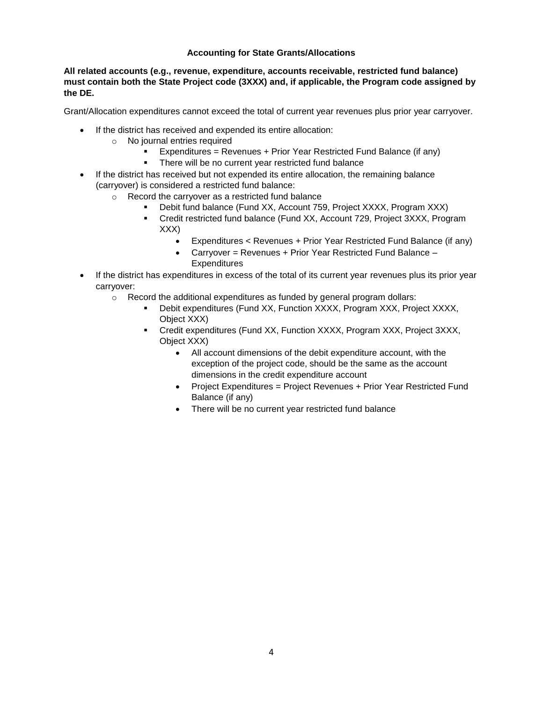## **Accounting for State Grants/Allocations**

### **All related accounts (e.g., revenue, expenditure, accounts receivable, restricted fund balance) must contain both the State Project code (3XXX) and, if applicable, the Program code assigned by the DE.**

Grant/Allocation expenditures cannot exceed the total of current year revenues plus prior year carryover.

- If the district has received and expended its entire allocation:
	- o No journal entries required
		- Expenditures = Revenues + Prior Year Restricted Fund Balance (if any)
		- **F** There will be no current year restricted fund balance
- If the district has received but not expended its entire allocation, the remaining balance (carryover) is considered a restricted fund balance:
	- o Record the carryover as a restricted fund balance
		- Debit fund balance (Fund XX, Account 759, Project XXXX, Program XXX)
		- Credit restricted fund balance (Fund XX, Account 729, Project 3XXX, Program XXX)
			- Expenditures < Revenues + Prior Year Restricted Fund Balance (if any)
			- Carryover = Revenues + Prior Year Restricted Fund Balance **Expenditures**
- If the district has expenditures in excess of the total of its current year revenues plus its prior year carryover:
	- o Record the additional expenditures as funded by general program dollars:
		- Debit expenditures (Fund XX, Function XXXX, Program XXX, Project XXXX, Object XXX)
		- Credit expenditures (Fund XX, Function XXXX, Program XXX, Project 3XXX, Object XXX)
			- All account dimensions of the debit expenditure account, with the exception of the project code, should be the same as the account dimensions in the credit expenditure account
			- Project Expenditures = Project Revenues + Prior Year Restricted Fund Balance (if any)
			- There will be no current year restricted fund balance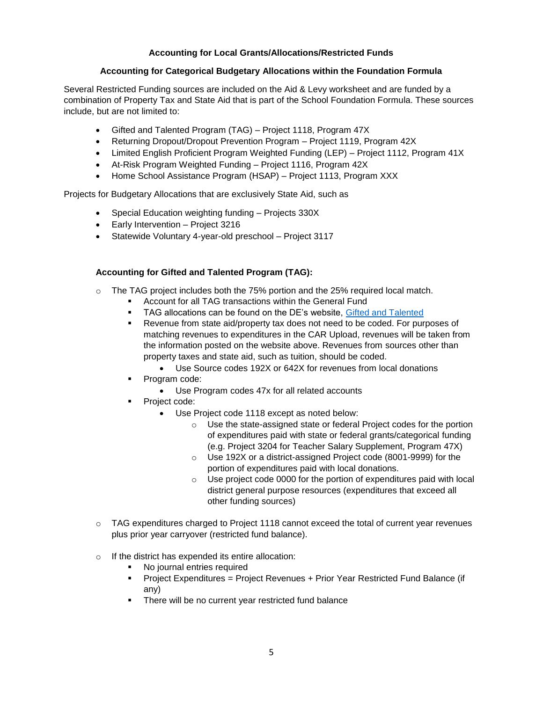# **Accounting for Local Grants/Allocations/Restricted Funds**

## **Accounting for Categorical Budgetary Allocations within the Foundation Formula**

Several Restricted Funding sources are included on the Aid & Levy worksheet and are funded by a combination of Property Tax and State Aid that is part of the School Foundation Formula. These sources include, but are not limited to:

- Gifted and Talented Program (TAG) Project 1118, Program 47X
- Returning Dropout/Dropout Prevention Program Project 1119, Program 42X
- Limited English Proficient Program Weighted Funding (LEP) Project 1112, Program 41X
- At-Risk Program Weighted Funding Project 1116, Program 42X
- Home School Assistance Program (HSAP) Project 1113, Program XXX

Projects for Budgetary Allocations that are exclusively State Aid, such as

- Special Education weighting funding Projects 330X
- Early Intervention Project 3216
- Statewide Voluntary 4-year-old preschool Project 3117

## **Accounting for Gifted and Talented Program (TAG):**

- $\circ$  The TAG project includes both the 75% portion and the 25% required local match.
	- Account for all TAG transactions within the General Fund
		- **TAG allocations can be found on the DE's website, [Gifted and Talented](https://www.educateiowa.gov/pk-12/advanced-learning-opportunities/gifted-talented)**
		- Revenue from state aid/property tax does not need to be coded. For purposes of matching revenues to expenditures in the CAR Upload, revenues will be taken from the information posted on the website above. Revenues from sources other than property taxes and state aid, such as tuition, should be coded.
			- Use Source codes 192X or 642X for revenues from local donations
		- Program code:
			- Use Program codes 47x for all related accounts
		- Project code:
			- Use Project code 1118 except as noted below:
				- o Use the state-assigned state or federal Project codes for the portion of expenditures paid with state or federal grants/categorical funding (e.g. Project 3204 for Teacher Salary Supplement, Program 47X)
				- o Use 192X or a district-assigned Project code (8001-9999) for the portion of expenditures paid with local donations.
				- $\circ$  Use project code 0000 for the portion of expenditures paid with local district general purpose resources (expenditures that exceed all other funding sources)
- $\circ$  TAG expenditures charged to Project 1118 cannot exceed the total of current year revenues plus prior year carryover (restricted fund balance).
- o If the district has expended its entire allocation:
	- No journal entries required
	- Project Expenditures = Project Revenues + Prior Year Restricted Fund Balance (if any)
	- **There will be no current year restricted fund balance**